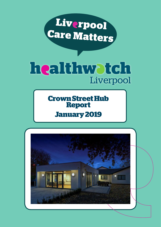

# healthwatch Liverpool

**Crown Street Hub Report**

# **January 2019**

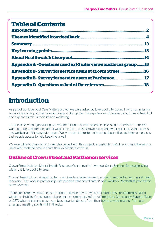# **Table of Contents**

| <b>Appendix A - Questions used in 1-1 interviews and focus group15</b> |
|------------------------------------------------------------------------|
| <b>Appendix B - Survey for service users at Crown Street 16</b>        |
| <b>Appendix B - Survey for service users at Parthenon17</b>            |
|                                                                        |

# **Introduction**

As part of our Liverpool Care Matters project we were asked by Liverpool City Council (who commission social care and support services in Liverpool ) to gather the experiences of people using Crown Street Hub and explore its role in their life and wellbeing.

In June 2018, we began visiting Crown Street Hub to speak to people accessing the services there. We wanted to get a better idea about what it feels like to use Crown Street and what part it plays in the lives and wellbeing of those service users. We were also interested in hearing about other activities or services that people access to help keep them well.

We would like to thank all of those who helped with this project. In particular we'd like to thank the service users who took the time to share their experiences with us.

### **Outline of Crown Street and Parthenon services**

Crown Street Hub is a Mental Health Resource Centre run by Liverpool Social Services for people living within the Liverpool City area.

Crown Street Hub provides short term services to enable people to move forward with their mental health recovery. They work in partnership with people's care coordinator (Social worker / Psychiatrist/psychiatric nurse/ doctor).

There are currently two aspects to support provided by Crown Street Hub. Those programmes based within the Hub itself, and support based in the community (often referred to as Community Support Team or CST) where the service user can be supported directly from their home environment or from prearranged meeting points within the city.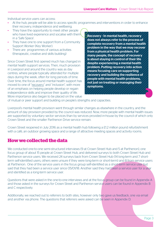Individual service users can access:

- At the hub, people will be able to access specific programmes and interventions in order to enhance their recovery, independence and wellbeing.
- They have the opportunity to meet other people who have lived experience and socalise with them in a 'Safe Space'.
- They have one to one support from a Community Support Worker (Key Worker).
- There are programmes of various activities (therapeutic, creative and skills building)

Since Crown Street first opened much has changed in mental health support services. Then, much provision in Liverpool and around the country was as day centres, where people typically attended for multiple days during the week, often for long periods of time. Over time, the focus around mental health support has moved to one of "recovery" and "inclusion", with more of an emphasis on helping people develop or regain independence skills and improve their quality of life. More importance also began to be placed on the value Recovery - In mental health, recovery does not always refer to the process of complete recovery from a mental health problem in the way that we may recover from a physical health problem. For many people, the concept of recovery is about staying in control of their life despite experiencing a mental health problem. Putting recovery into action means focusing care on supporting recovery and building the resilience of people with mental health problems, not just on treating or managing their symptoms.

of mutual or peer support and building on people's strengths and capacities.

Liverpool's mental health provision went through similar changes as elsewhere in the country, and the amount of day provision provided by the council was reduced. Now, more people with mental health issues are supported by voluntary sector services than by services provided in-house by the council of which only Crown Street and the smaller Parthenon Drive service remain.

Crown Street reopened in July 2016 as a mental health hub following a £1.2 million pound refurbishment with a café, an outdoor growing space and a range of attractive meeting spaces and activity rooms.

### **How we collected the data**

We conducted one-to-one semi-structured interviews (9 at Crown Street Hub and 5 at Parthenon), one focus group of about 15 people at Crown Street Hub, and delivered surveys to both Crown Street Hub and Parthenon service users. We received 24 surveys back from Crown Street Hub (14 long-term and 7 shortterm self-identified users, others were unsure if they were long-term or short-term) and 8 from service users at Parthenon. One of the service users in the focus group self-identified as a short-term service user but said that they had been a service user since 05/01/18. Another said they had been a service user for a year and identified as a long-term service user.

Questions that were asked in the one-to-one interviews and at the focus group can be found in Appendix A and those asked in the surveys for Crown Street and Parthenon service users can be found in Appendix B and C respectively.

Additionally, we reached out to referrers to both sites, however only two gave us feedback, one via email and another via phone. The questions that referrers were asked can be seen in Appendix D.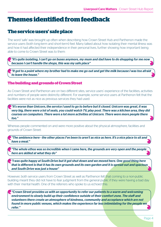### **Themes identified from feedback**

### **The service users' safe place**

The word 'safe' was brought up often when describing how Crown Street Hub and Parthenon made the service users (both long-term and short-term) feel. Many talked about how isolating their mental illness was and how it had affected their independence in their personal lives, further showing how important being able to come to Crown Street was to them:

*"It's quite isolating, I can't go on buses anymore, my mum and dad have to do shopping for me now because I can't handle the shops, this was my safe place"*

*"It got to a point where my brother had to make me go out and get the milk because I was too afraid to leave the house."* 

#### **The building and grounds of Crown Street**

As Crown Street and Parthenon are on two different sites, service users' experience of the facilities, activities and numbers of people were distinctly different. For example, some service users at Parthenon felt that the facilities were not as nice as previous services they had used:

*"It's worse than Unicorn, the service I used to go to before but it closed. Unicorn was great, it was very big, there were a lot of seats, you could watch TV, play pool. There was a kitchen area, they did courses on computers. There were a lot more activities at Unicorn. There were more people there too."* 

Whereas people commented on and were more positive about the physical atmosphere, facilities and grounds of Crown Street:

*"The ambience here - the other places I've been to aren't as nice as here. It's a nice place to sit and have a meal."* 

*"The whole ethos was so incredible when I came here, the grounds are very open and the people here are skilled at what they do"*

*"I was quite happy at South Drive but it got shut down and we moved here. One good thing here that is different is that it has its own grounds and its own garden and it is spread out and spacious and South Drive was just a house"*

However, both service users from Crown Street as well as Parthenon felt that coming to a non-public building meant they did not have to fear judgment from the general public if they were having a bad day with their mental health. One of the referrers who spoke to us echoed this:

*"Crown Street provides us with an opportunity to refer our patients to a warm and welcoming environment to slowly build up their confidence outside of their comfort zone. The staff and volunteers there create an atmosphere of kindness, community and acceptance which are not found in more public venues, which makes the experience far less intimidating for the people we refer."*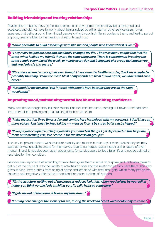#### **Building friendships and trusting relationships**

People also attributed this safe feeling to being in an environment where they felt understood and accepted, and did not have to worry about being judged by either staff or other service users. It was apparent that being around 'like-minded people' going through similar struggles to them, and feeling part of a group, greatly added to their feelings of security and trust:

*"I have been able to build friendships with like-minded people who know what it is like."* 

*"They really helped me here and absolutely changed my life. I know so many people that feel the same, when I talk to my friends they say the same thing here. There is contentment in seeing the same people every day of the week, or nearly every day and being part of a group that knows you and you feel safe and secure."* 

*"It's a place where I am accepted even though I have a mental health disorder, that I am accepted is probably the thing I value the most. Most of my friends are from Crown Street, we understand each other."*

*"It is good for me because I can interact with people here because they are on the same wavelength"*

#### **Improving mood, maintaining mental health and building confidence**

Many said that although they felt their mental illnesses can't be cured, coming to Crown Street had been instrumental in improving and maintaining their mental health:

*"I take medication three times a day and coming here has helped with my psychosis, I don't have as many voices , I just need to keep taking my meds as it can't be cured but it can be helped."* 

*"It keeps you occupied and helps you take your mind off things. I get depressed so this helps me focus on something else, like I come in for the discussion groups."*

The service provided them with structure, stability and routine in their day or week, which they felt they were otherwise unable to create for themselves (due to numerous reasons such as the nature of their mental illness). It was also seen as an opportunity for service users to live a fuller life and not be defined or restricted by their condition.

Service users reported that attending Crown Street gives them a sense of purpose and motivates them to get out of the house due to the variety of activities on offer and the relationships they have there. This also gives service users a break from being at home and left alone with their thoughts, which many people we spoke to said negatively affects their mood and increases feelings of isolation.

*"It's the structure, getting out of the house, it reduces isolation. When you feel low by yourself at home, you think no-one feels as shit as you. It really helps to come here."* 

*"It gets me out of the house, it breaks my time down."*

*"Coming here changes the scenery for me, during the weekend I can't wait for Monday to come."*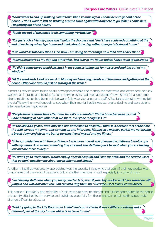*"I don't want to end up walking round town like a zombie again. I come here to get out of the house…I don't want to just be walking around town again with nowhere to go. When I come here, I'm getting out of the house."*

*"It gets me out of the house to do something worthwhile."*

*"It is just such a friendly place and it helps the day pass and I feel I have achieved something at the end of each day when I go home and think about the day, rather than just staying at home."* 

*"Life wasn't as full back then as it is now, I am doing better things now than I was back then."*

*"It gives structure to my day and otherwise I just stay in the house unless I have to go to the shops."* 

*"If I didn't come here I would be stuck in my room listening out for noises and looking out of my window."* 

*"At the weekends I look forward to Monday and meeting people and the music and getting out the house. Otherwise I would just be staring at the walls."*

Almost all service users talked about how approachable and friendly the staff were, and described their key workers as fantastic and helpful. As some service users had been accessing Crown Street for a long time, strong relationships had been built between fellow service users and staff. A few talked about how they felt the staff knew them well enough to see when their mental health was starting to decline and were able to intervene before it got worse:

*"People have relapses time after time, here it's pre-empted. It's the bond between us, that understanding of each other that we share, everyone recognises it."*

*"In the last XXX years I have only had one admission to hospital, I think it is because lots of the time the staff can see my symptoms coming up and intervene. It's played a massive part in me not having a break down and given me better perspective of myself and my illness."* 

 *"It has provided me with the confidence to be more myself and give me the platform to help cope with my issues. And when I'm feeling low, stressed, the staff are quick to spot when you are feeling low and are there to help."* 

*"If I didn't go to Parthenon I would end up back in hospital and I like the staff, and the service users that go don't question me about my problems and illness."*

Another thing that was greatly appreciated was the security in knowing that even if their key-worker was unavailable that they would be able to talk to another member of staff, especially in a time of crisis:

*"Just having staff here when you really need to talk, even if your key worker isn't here someone will jump in and will look after you. You can also ring them up." (Service users from Crown Street)*

This sense of familiarity and reliability of staff seems to have reinforced and further contributed to the sense of security attached to the service and buildings, especially for those whose mental health issues make change difficult to adjust to:

*"I did try going to the Life Rooms but I didn't feel comfortable, it was a different setting and a different part of the city for me which is an issue for me"*

Page 6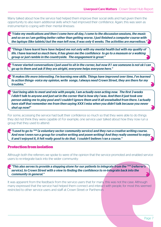Many talked about how the service had helped them improve their social skills and had given them the opportunity to also learn additional skills which had improved their confidence. Again, this was seen as instrumental to coping with their mental illnesses:

*"I take my medications and then I come here all day, I come to the discussion sessions, the music and so on so I am getting better rather than getting worse. I just finished a computer course with the laptops (like tablets) but the man left now, it was only 6 weeks. The activities are marvellous."* 

*"Things I have learnt here have helped me not only with my mental health but with my quality of life. I have learned so much here, it has given me the confidence to go to a museum or a walking group or just ramble in the countryside. The engagement is great."*

*"I never started conversations I just used to sit in the corner, but now if I see someone is not ok I can go up to them and ask if they are alright, everyone helps everyone here."*

*"It makes life more interesting. I'm learning new skills. Things have improved over time, I've learned to action things- voice my opinion, write songs. I always need Crown Street, they are there for my troubles."* 

*"Just being able to meet and mix with people, I am actually even acting now. The first 3 weeks I didn't talk to anyone and just sat in the corner that is how shy I was. And then it just took one person asking me to play pool and I couldn't ignore them and it all snowballed from there. I actually have staff that remember me from then saying XXX I miss when you didn't talk because you never shut up now!"*

For some, accessing the service had built their confidence so much so that they were able to do things they did not think they were capable of. For example, one service user talked about how they now run a group that they used to attend:

*"I used to go to \*\*\* (a voluntary sector community service) and they run a creative writing course. And now I even run a group for creative writing and poem writing! And they really seemed to enjoy it and I enjoyed it, it felt really good to do that. I couldn't believe I ran a course."*

#### **Protection from isolation**

Although both the referrers we spoke to were of the opinion that the service promoted and enabled service users to re-integrate back into the wider community:

*"This also serves to provide a stepping stone for our patients to integrate from the \*\*\* (referrer's service), to Crown Street with a view to finding the confidence to re-integrate back into the community in general."*

It was apparent from the feedback from the service users that for many, this was not the case. Although many expressed that the service had helped them connect and interact with people, for most this seemed restricted to other service users and staff at Crown Street or Parthenon.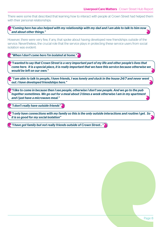There were some that described that learning how to interact with people at Crown Street had helped them with their personal relationships:

#### *"Coming here has also helped with my relationship with my dad and I am able to talk to him now and about other things."*

However, there were very few, if any, that spoke about having developed new friendships outside of the service. Nevertheless, the crucial role that the service plays in protecting these service users from social isolation was evident:

*"When I don't come here I'm isolated at home."* 

*"I wanted to say that Crown Street is a very important part of my life and other people's lives that come here. It is a special place, it is really important that we have this service because otherwise we would be left on our own."* 

 *"I am able to talk to people, I have friends, I was lonely and stuck in the house 24/7 and never went out. I have developed friendships here."* 

*"I like to come in because then I see people, otherwise I don't see people. And we go to the pub together sometimes. We go out for a meal about 3 times a week otherwise I am in my apartment and I just have a microwave meal."*

*"I don't really have outside friends"*

*"I only have connections with my family so this is the only outside interactions and routine I get. So it is so good for my social isolation"*

*"I have got family but not really friends outside of Crown Street…"*

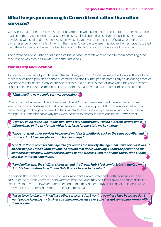### **What keeps you coming to Crown Street rather than other services?**

We asked service users at Crown Street and Parthenon what keeps them coming to these services rather than any others. As mentioned, many service users talked about the positive relationships they have developed with staff and other service users which have given them a sense of safety, comfort and in some cases being part of a family, which they haven't found elsewhere. The above themes have illustrated the different aspects of the service that has contributed to this and how they are all connected.

There were additional issues discussed that the service users felt were barriers to them accessing other services the way they do Crown Street and Parthenon.

#### **Familiarity and Location**

As previously discussed, people valued the familiarity of Crown Street: knowing the location, the staff and other service users provides a sense of comfort and stability, that people particularly value during times of worsened mental health. Many expressed that they did not feel as comfortable when they had accessed another service. For some, the unfamiliarity of other services was a major barrier to accessing them.

#### *"I find meeting new people very nerve-racking"*

Others that had accessed different services while at Crown Street described them as being not as welcoming, uncomfortable and that other service users were 'cliquey'. Although some did reflect that these feelings could again be linked to their mental health issues (e.g paranoia, anxious being in new settings), it is understandable why they were hesitant to access services outside of Crown Street.

 *"I did try going to the Life Rooms but I didn't feel comfortable, it was a different setting and a different part of the city for me which is an issue for me, I told my key worker."*

*"I have not tried other services because of my XXX (condition) I stick to the same activities and routine, I don't like new places or to try new things."*

**The (Life Rooms course) I managed to get on was the Anxiety Management. It was ok but it was ل** *all new people, I didn't know anyone, so I found that nerve wracking. I know the people and the staff here so you know when they are joking or not, whereas with the people there I didn't know, so it was different experience."*

*"I am familiar with the staff, service users and the Crown Hub. I feel comfortable at the Crown Hub. My friends attend the Crown Hub. It is not too far to travel to"*

In addition, the location of the services is also important. Crown Street and Parthenon are local and easy to get to for many service users, whereas other services may be further away and more difficult or expensive to travel to. However, some mentioned that they prefer to travel outside of their local area as they would prefer more anonymity in accessing the service.

*"I used to go to Unicorn. I don't use other services. I don't want to go where I live because I don't want people knowing my business. I come here because everyone has got something wrong with them like me"*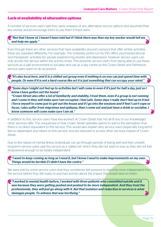#### **Lack of availability of alternative options**

A number of services users said they were unaware of any alternative service options and assumed their key worker would encourage them to use them if there were:

#### *"Not that I know of, I haven't been told but if I think there was then my key worker would tell me and help me apply."*

Even though there are other services that have availability around Liverpool that offer similar activities, these are operated differently. For example, The Umbrella centre run by PSS offers psychoeducational and therapeutic activities for people experiencing anxiety and depression, however service users can only access the service within the activity times. This prevents service users from being able to use these services as a safe environment to socialise and use as a day centre as the Crown Street and Parthenon service users seem to do at present.

*"It's also local here, and it is a chilled out group even if nothing is on you can just spend time with people. Or even if it is not a hard course like art it is just something that can occupy your mind."* 

*"Some days I might not feel up to activities but I will come in even if it's just for half a day, just so I know I have gotten out the house" "Crown Street also offer a lot of familiarity and stability, I trust them, even if a group is not running and I come in they will make sure I am occupied. I feel safe. Some days I really don't feel up to it but I force myself to come just to get out the house and if I go into the sessions and if feel I can't cope or focus, I also suffer from migraines and epilepsy, then I come out and just have a drink or socialise, I know someone will come make sure I am ok."* 

In addition to this, service users have key-workers at Crown Street that not all (if any to our knowledge) other services offer. The uniqueness in how Crown Street operates seems to add to the perception that there is no direct equivalent to this service. This would also explain why service users (especially long-term) feel so dependant and reliant on this service, and are reluctant to access other services instead of Crown Street.

Due to the nature of mental illness (individuals can go through periods of being well and then unwell), long-term service users saw the service as a 'safety-net' which they did not want to lose as they did not feel empowered enough to be totally independent.

*"I want to keep coming as long as I need it, but I know I need to make improvements on my own. Things would be terrible if I didn't have the centre."* 

We were told by some service users that they sometimes felt pressure to become more independent from the service before they felt ready to and had worries about the impact this would have on them:

*"I worked in mental health before, I worked with three patients who committed suicide and it was because they were getting pushed and pushed to be more independent. And they trust the professionals, they will just go along with it. But that isolation and reduction in services is what damages people. To witness that was terrifying."*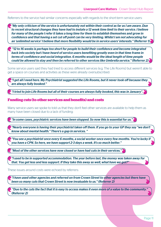Referrers to the service had similar concerns especially with regards to the short-term service users:

*"My only criticism of the service is unfortunately not within their control as far as I am aware. Due to recent structural changes they have had to instate a 12 week time limit to their service. I believe for many of the people I refer it takes a long time for them to establish themselves and grow in confidence and that having a set cut off point can be very limiting. Whilst I am not advocating for an 'unlimited service' I believe that more flexibility would be in service users' interests." (Referrer 1)*

 *"12 to 16 weeks is perhaps too short for people to build their confidence and become integrated back into society but I have heard of service users benefiting greatly even in that time frame in terms of confidence and social integration. 6 months would be the ideal length of time people could be allowed to stay and then be referred to other services like Umbrella service." (Referrer 2)* 

Some service users said they had tried to access different services (e.g. The Life Rooms) but weren't able to get a space on courses and activities as these were already oversubscribed:

*"I get all I need here. My Psychiatrist suggested the Life Rooms, but it never took off because they are always fully booked."*

*"I tried to join Life Rooms but all of their courses are always fully booked, this was in January".*

#### **Funding cuts (to other services and benefits) and costs**

Many service users we spoke to told us that they don't feel other services are available to help them as many have been closed due to a lack of funding:

*"In some cases, psychiatric services have been stopped. So now this is essential for us."*

*"Nearly everyone is having their psychiatrist taken off them. If you go to your GP they say "we don't know about mental health." There's a gap in services. "* 

*"You see a psychiatrist once every 6 months, a social worker once every few months. You're lucky if you have a CPN. So here, we have support 2-3 days a week. It's so much better."*

*"Most of the other services have now closed or have had cuts in their services."*

*"I used to be in supported accommodation. The year before last, the money was taken away for that. You get less and less support. If they take this away as well, what have we got?"* 

These issues around costs were echoed by referrers:

*"I have used other agencies and referred on from Crown Street to other agencies but there have been so many cuts that Crown Street is now invaluable to us." (Referrer 2)*

 *"Due to the cuts the fact that it is easy to access makes it even more of a value to the community." (Referrer 2)*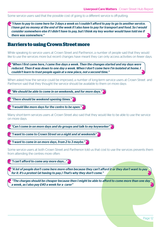Some service users said that the possible cost of going to a different service is off-putting:

*"I have to pay to come here for 3 days a week so I couldn't afford to pay to go to another service. I have got no money at the end of the week if I also have to pay for transport and food. So I would consider somewhere else if I didn't have to pay, but I think my key worker would have told me if there was somewhere."*

### **Barriers to using Crown Street more**

While speaking to service users at Crown Street and Parthenon, a number of people said that they would like to use the services more but recent changes have meant they can only access activities on fewer days.

*"When I first came here, I came five days a week. Then the changes started and my days were reduced. Then it was down to one day a week. When I don't come here I'm isolated at home. I couldn't learn to trust people again at a new place, not a second time."*

When asked how the service could be improved, a number of long-term service users at Crown Street and Parthenon said that they thought the service should be available to them on more days:

*"We should be able to come in on weekends, and for more days."* 

*"There should be weekend opening times."*

*"I would like more days for the centre to be open."* 

Many short-term services users at Crown Street also said that they would like to be able to use the service on more days:

*"Can I come in on more days and do groups and talk to my keyworker"* 

*"I want to come to Crown Street on a night and at weekends"*

*"I want to come in on more days, from 2 to 3 maybe."*

Some service users at both Crown Street and Parthenon told us that cost to use the services prevents them from attending the centres more often:

*"I can't afford to come any more days…"*

*"A lot of people don't come here more often because they can't afford it or they don't want to pay for it. It's a protest (at having to pay.) That's why they don't come."*

 *"The charges should be cheaper because then I might be able to afford to come more than one day a week, as I also pay £40 a week for a carer"*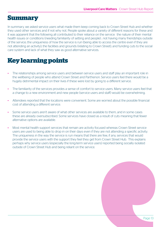### **Summary**

In summary, we asked service users what made them keep coming back to Crown Street Hub and whether they used other services and if not why not. People spoke about a variety of different reasons for these and it was apparent that the following all contributed to their reliance on the service: the nature of their mental health issues or conditions (needing familiarity of setting and people) ; not having many friendships outside of the service; the uniqueness of how the service is run (being able to access the centre even if they are not attending an activity); the facilities and grounds (relating to Crown Street); and funding cuts to the social care system and lack of what they saw as good alternative services.

# **Key learning points**

- The relationships among service users and between service users and staff play an important role in the wellbeing of people who attend Crown Street and Parthenon. Service users feel there would be a hugely detrimental impact on their lives if these were lost by going to a different service.
- The familiarity of the services provides a sense of comfort to service users. Many service users feel that a change to a new environment and new people (service users and staff) would be overwhelming.
- Attendees reported that the locations were convenient. Some are worried about the possible financial cost of attending a different service.
- Some service users aren't aware of what other services are available to them, and in some cases these are already oversubscribed. Some services have closed as a result of cuts meaning that fewer alternative options are available.
- Most mental health support services that remain are activity focused whereas Crown Street service users are used to being able to drop in on their days even if they are not attending a specific activity. The uniqueness in the way the service is run means that there are few, if any, services that would provide the service users with the support they feel they get from Crown Street Hub. This explains perhaps why service users (especially the long-term service users) reported being socially isolated outside of Crown Street Hub and being reliant on the service.

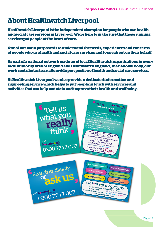# **About Healthwatch Liverpool**

**Healthwatch Liverpool is the independent champion for people who use health and social care services in Liverpool. We're here to make sure that those running services put people at the heart of care.**

**One of our main purposes is to understand the needs, experiences and concerns of people who use health and social care services and to speak out on their behalf.**

**As part of a national network made up of local Healthwatch organisations in every local authority area of England and Healthwatch England , the national body, our work contributes to a nationwide perspective of health and social care services.**

**At Healthwatch Liverpool we also provide a dedicated information and signposting service which helps to put people in touch with services and activities that can help maintain and improve their health and wellbeing.**

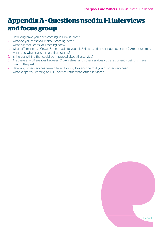# **Appendix A - Questions used in 1-1 interviews and focus group**

- 1. How long have you been coming to Crown Street?
- 2. What do you most value about coming here?
- 3. What is it that keeps you coming back?
- 4. What difference has Crown Street made to your life? How has that changed over time? Are there times when you when need it more than others?
- 5. Is there anything that could be improved about the service?
- 6. Are there any differences between Crown Street and other services you are currently using or have used in the past?
- 7. Have any other services been offered to you / has anyone told you of other services?
- 8. What keeps you coming to THIS service rather than other services?

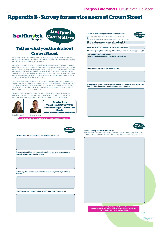### **Appendix B - Survey for service users at Crown Street**



### **Tell us what you think about Crown Street**

Healthwatch Liverpool is an independent organisation, outside the council and the NHS. Our role includes finding out what people think about health and care services and helping people to know and understand their options.

People find it easy to tell us what they think about health services but we want to make it easier for people to tell us what they think about social care services. We are starting a new project called Liverpool Care Matters to do this. As part of Liverpool Care Matters we have been asked by the council to speak to people who use Crown Street or know it well. We want to get a better idea about what it feels like to use Crown Street and what part it plays in your life and wellbeing. We would also be interested in hearing about other activities or services that you access to help keep you well.

We'll pull together what people tell us but we won't name or identify any individuals. We want you to be able to talk to us openly and honestly. We have already spoken to a few of you, however we would like to get feedback from as many people as possible. This is why we are asking you to fill in these surveys. If you prefer, you could talk to us by phone or arrange to visit our office in the city centre.

The council are looking at all the mental health services they provide or fund to see how they should best be provided in future. What you tell us will give them a better understanding about Crown Street's role in mental health services in Liverpool







Katie Montague **Collette Venturas** 

*Please turn over to take the survey and place it in the Healthwatch Liverpool* 

Page 1

Page 3

7. Is there anything that could be improved about the service?

8. Are there any differences between Crown Street and other services you are currently using or have used in the past?

9. Have any other services been offered to you / has anyone told you of other services?

10. What keeps you coming to Crown Street rather than other services?



6. What difference has Crown Street made to your life? How has that changed over time? Are there times when you when need it more than others?



Page 2

#### Is there anything else you'd like to tell us?

Feel free to use this box to continue any answers to questions 1-10 or if you want to tell us anything about your experience at Crown Street that isn't covered by our questions.

| Thank you for taking part in this survey!                                   |
|-----------------------------------------------------------------------------|
| Please place it in the Healthwatch Liverpool suggestion box at reception or |
| return using the FREEPOST envelope enclosed                                 |

Page 4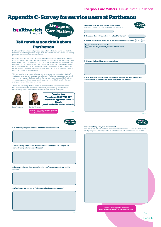### **Appendix C - Survey for service users at Parthenon**





#### **Tell us what you think about Parthenon**

Healthwatch Liverpool is an independent organisation, outside the council and the NHS. Our role includes finding out what people think about health and care services and helping people to know and understand their options.

People find it easy to tell us what they think about health services but we want to make it easier for people to tell us what they think about social care services. We are starting a new project called Liverpool Care Matters to do this. As part of Liverpool Care Matters we have been asked by the council to speak to people who use Parthenon or know it well. We want to get a better idea about what it feels like to use Parthenon and what part it plays in your life and wellbeing. We would also be interested in hearing about other activities or services that you access to help keep you well.

We'll pull together what people tell us but we won't name or identify any individuals. We want you to be able to talk to us openly and honestly. We have already spoken to a few of you, however we would like to get feedback from as many people as possible. This is why we are asking you to fill in these surveys. If you prefer, you could talk to us by phone or arrange to visit our office in the city centre.

The council are looking at all the mental health services they provide or fund to see how they should best be provided in future. What you tell us will give them a better understanding about Parthenon's role in mental health services in Liverpool.









Page 3

6. Is there anything that could be improved about the service?

7. Are there any differences between Parthenon and other services you are currently using or have used in the past?

8. Have any other services been offered to you / has anyone told you of other services?

9. What keeps you coming to Parthenon rather than other services?



4. What are the best things about coming here?

Is there anything else you'd like to tell us?

5. What difference has Parthenon made to your life? How has that changed over time? Are there times when you when need it more than others?

Feel free to use this box to continue any answers to questions 1-10 or if you want to tell us anything about your experience at Parthenon that isn't covered by our questions.

*Thank you for taking part in this survey! Please return using the FREEPOST envelope enclosed*

Page 4

Page 2

*iverpool* 

are Matter